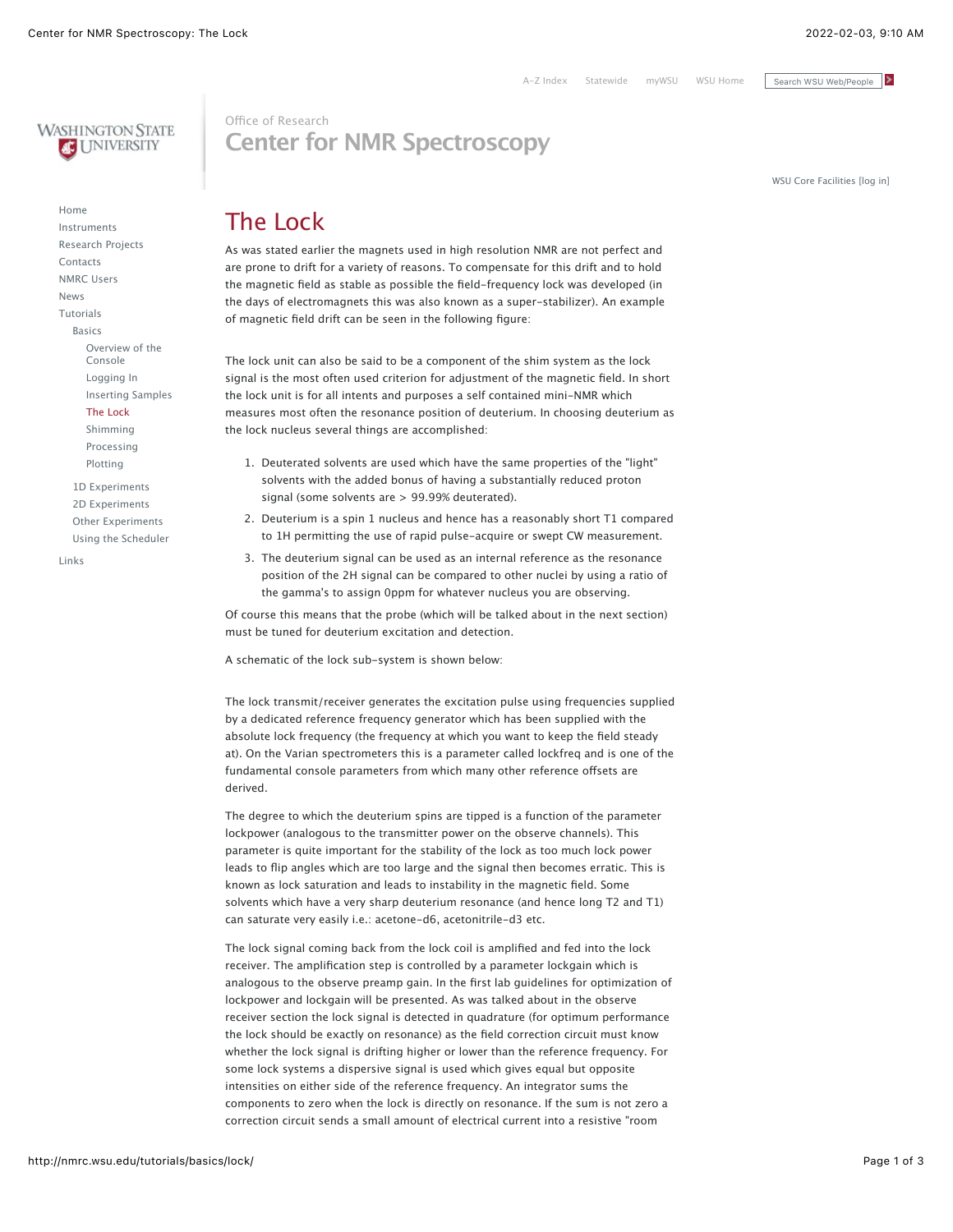[A-Z Index](https://index.wsu.edu/) [Statewide](https://wsu.edu/about/statewide/) [myWSU](https://my.wsu.edu/) [WSU Home](https://wsu.edu/) Search WSU Web/People



[Home](http://nmrc.wsu.edu/) [Instruments](http://nmrc.wsu.edu/instruments/) [Research Projects](http://nmrc.wsu.edu/research/) [Contacts](http://nmrc.wsu.edu/contacts/) [NMRC Users](http://nmrc.wsu.edu/nmrcusers/) [News](http://nmrc.wsu.edu/News.aspx) [Tutorials](http://nmrc.wsu.edu/tutorials/) [Basics](http://nmrc.wsu.edu/tutorials/basics/) [Overview of the](http://nmrc.wsu.edu/tutorials/basics/overview/) Console [Logging In](http://nmrc.wsu.edu/tutorials/basics/loggingin/) [Inserting Samples](http://nmrc.wsu.edu/tutorials/basics/inserting/) [The Lock](http://nmrc.wsu.edu/tutorials/basics/lock/) [Shimming](http://nmrc.wsu.edu/tutorials/basics/shimming/) [Processing](http://nmrc.wsu.edu/tutorials/basics/processing/) [Plotting](http://nmrc.wsu.edu/tutorials/basics/plotting/) [1D Experiments](http://nmrc.wsu.edu/tutorials/1dexperiments/) [2D Experiments](http://nmrc.wsu.edu/tutorials/2dexperiments/) [Other Experiments](http://nmrc.wsu.edu/tutorials/other/) [Using the Scheduler](http://nmrc.wsu.edu/tutorials/scheduler/)

[Links](http://nmrc.wsu.edu/Links/)

## Office of Research **Center for NMR Spectroscopy**

[WSU Core Facilities \[log in\]](http://wsu.corefacilities.org/)

# The Lock

As was stated earlier the magnets used in high resolution NMR are not perfect and are prone to drift for a variety of reasons. To compensate for this drift and to hold the magnetic field as stable as possible the field-frequency lock was developed (in the days of electromagnets this was also known as a super-stabilizer). An example of magnetic field drift can be seen in the following figure:

The lock unit can also be said to be a component of the shim system as the lock signal is the most often used criterion for adjustment of the magnetic field. In short the lock unit is for all intents and purposes a self contained mini-NMR which measures most often the resonance position of deuterium. In choosing deuterium as the lock nucleus several things are accomplished:

- 1. Deuterated solvents are used which have the same properties of the "light" solvents with the added bonus of having a substantially reduced proton signal (some solvents are > 99.99% deuterated).
- 2. Deuterium is a spin 1 nucleus and hence has a reasonably short T1 compared to 1H permitting the use of rapid pulse-acquire or swept CW measurement.
- 3. The deuterium signal can be used as an internal reference as the resonance position of the 2H signal can be compared to other nuclei by using a ratio of the gamma's to assign 0ppm for whatever nucleus you are observing.

Of course this means that the probe (which will be talked about in the next section) must be tuned for deuterium excitation and detection.

A schematic of the lock sub-system is shown below:

The lock transmit/receiver generates the excitation pulse using frequencies supplied by a dedicated reference frequency generator which has been supplied with the absolute lock frequency (the frequency at which you want to keep the field steady at). On the Varian spectrometers this is a parameter called lockfreq and is one of the fundamental console parameters from which many other reference offsets are derived.

The degree to which the deuterium spins are tipped is a function of the parameter lockpower (analogous to the transmitter power on the observe channels). This parameter is quite important for the stability of the lock as too much lock power leads to flip angles which are too large and the signal then becomes erratic. This is known as lock saturation and leads to instability in the magnetic field. Some solvents which have a very sharp deuterium resonance (and hence long T2 and T1) can saturate very easily i.e.: acetone-d6, acetonitrile-d3 etc.

The lock signal coming back from the lock coil is amplified and fed into the lock receiver. The amplification step is controlled by a parameter lockgain which is analogous to the observe preamp gain. In the first lab guidelines for optimization of lockpower and lockgain will be presented. As was talked about in the observe receiver section the lock signal is detected in quadrature (for optimum performance the lock should be exactly on resonance) as the field correction circuit must know whether the lock signal is drifting higher or lower than the reference frequency. For some lock systems a dispersive signal is used which gives equal but opposite intensities on either side of the reference frequency. An integrator sums the components to zero when the lock is directly on resonance. If the sum is not zero a correction circuit sends a small amount of electrical current into a resistive "room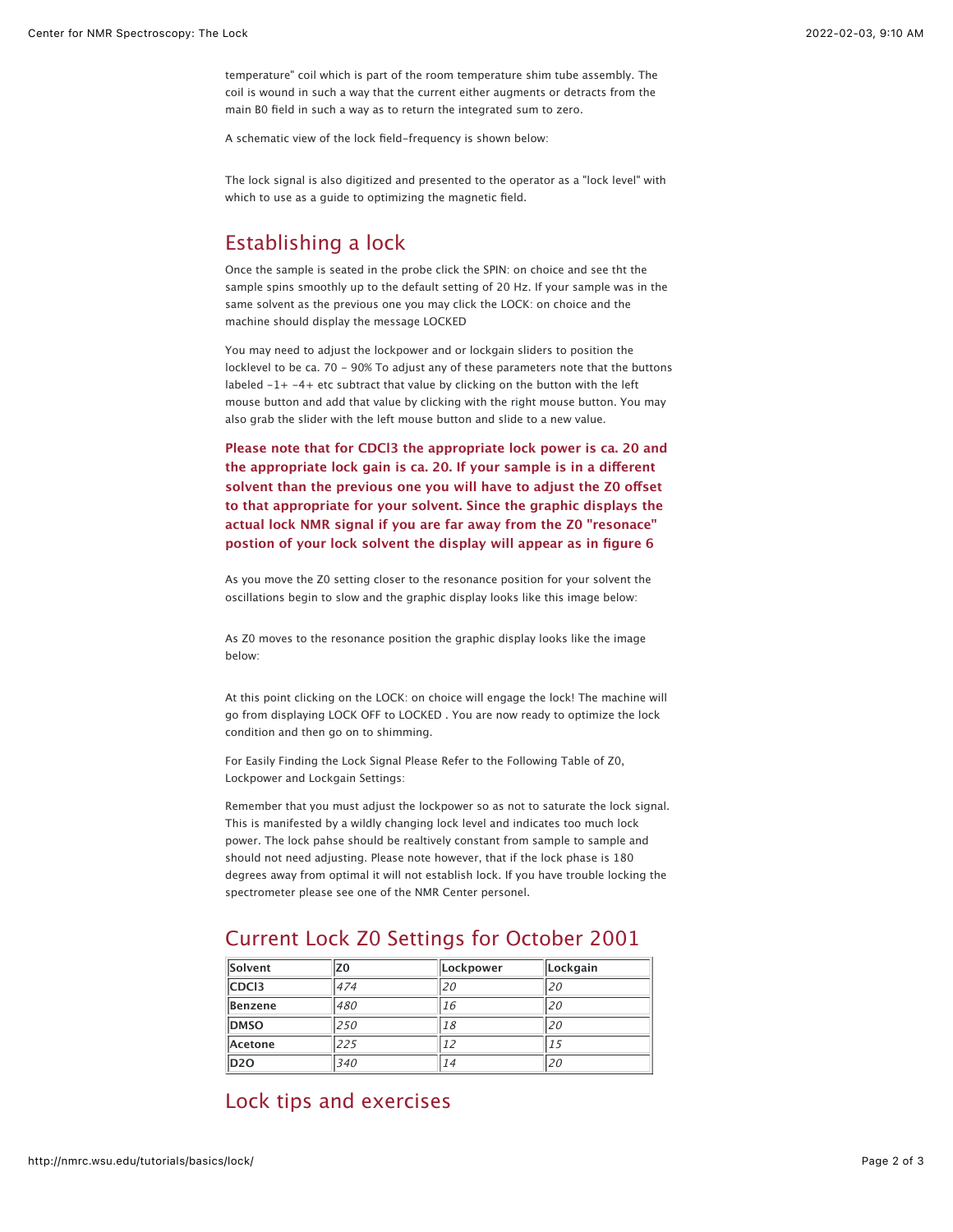temperature" coil which is part of the room temperature shim tube assembly. The coil is wound in such a way that the current either augments or detracts from the main B0 field in such a way as to return the integrated sum to zero.

A schematic view of the lock field-frequency is shown below:

The lock signal is also digitized and presented to the operator as a "lock level" with which to use as a guide to optimizing the magnetic field.

#### Establishing a lock

Once the sample is seated in the probe click the SPIN: on choice and see tht the sample spins smoothly up to the default setting of 20 Hz. If your sample was in the same solvent as the previous one you may click the LOCK: on choice and the machine should display the message LOCKED

You may need to adjust the lockpower and or lockgain sliders to position the locklevel to be ca. 70 - 90% To adjust any of these parameters note that the buttons labeled -1+ -4+ etc subtract that value by clicking on the button with the left mouse button and add that value by clicking with the right mouse button. You may also grab the slider with the left mouse button and slide to a new value.

**Please note that for CDCl3 the appropriate lock power is ca. 20 and the appropriate lock gain is ca. 20. If your sample is in a di!erent** solvent than the previous one you will have to adjust the Z0 offset **to that appropriate for your solvent. Since the graphic displays the actual lock NMR signal if you are far away from the Z0 "resonace" postion of your lock solvent the display will appear as in figure 6**

As you move the Z0 setting closer to the resonance position for your solvent the oscillations begin to slow and the graphic display looks like this image below:

As Z0 moves to the resonance position the graphic display looks like the image below:

At this point clicking on the LOCK: on choice will engage the lock! The machine will go from displaying LOCK OFF to LOCKED . You are now ready to optimize the lock condition and then go on to shimming.

For Easily Finding the Lock Signal Please Refer to the Following Table of Z0, Lockpower and Lockgain Settings:

Remember that you must adjust the lockpower so as not to saturate the lock signal. This is manifested by a wildly changing lock level and indicates too much lock power. The lock pahse should be realtively constant from sample to sample and should not need adjusting. Please note however, that if the lock phase is 180 degrees away from optimal it will not establish lock. If you have trouble locking the spectrometer please see one of the NMR Center personel.

### Current Lock Z0 Settings for October 2001

| Solvent           | Z0  | Lockpower | Lockgain |
|-------------------|-----|-----------|----------|
| CDC <sub>13</sub> | 474 | 20        | .20      |
| Benzene           | 480 | 16        | .20      |
| <b>DMSO</b>       | 250 | 18        | 20       |
| Acetone           | 225 |           | L 5      |
| D <sub>20</sub>   | 340 | 14        | 20       |

#### Lock tips and exercises